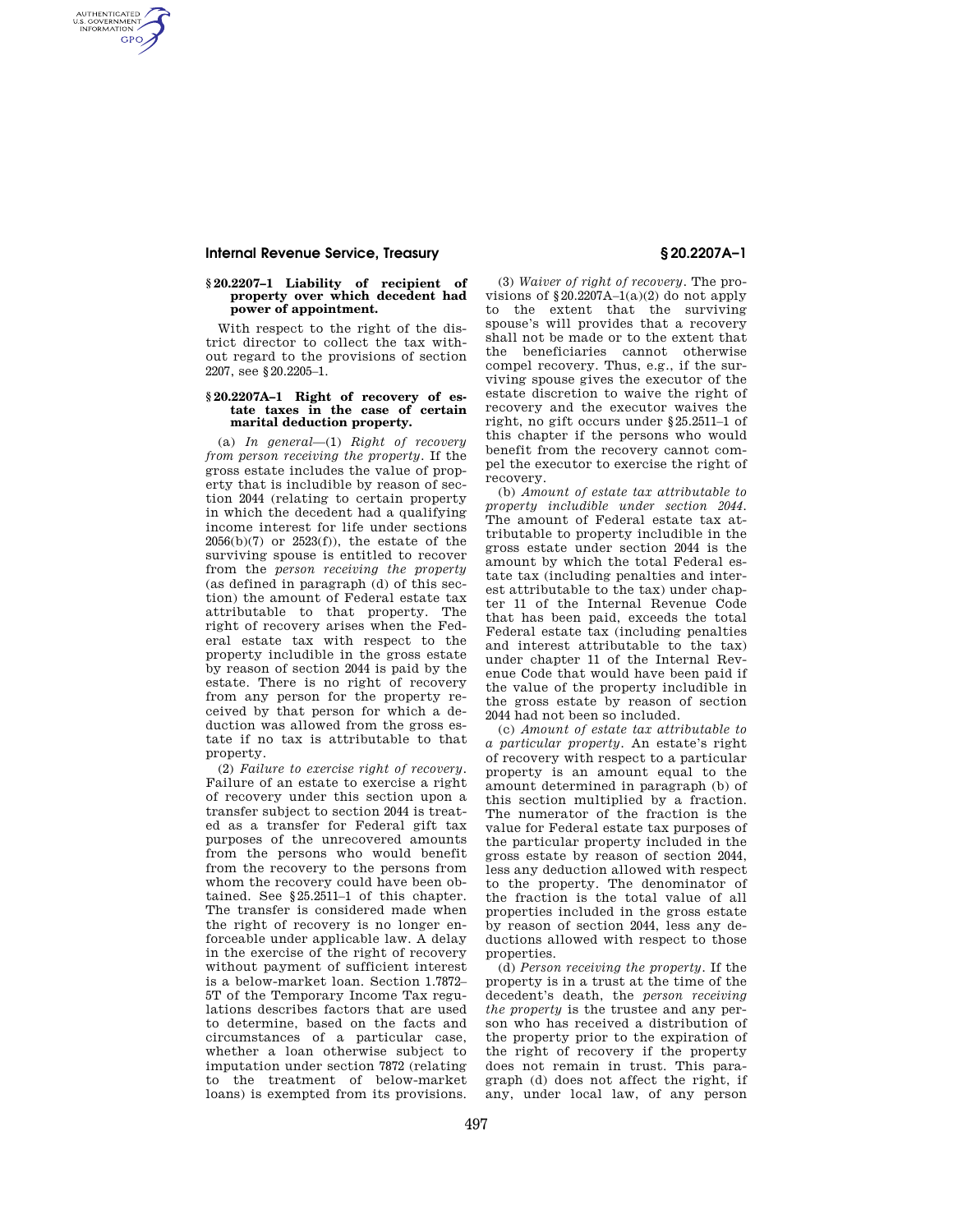# **Internal Revenue Service, Treasury § 20.2207A–1**

AUTHENTICATED<br>U.S. GOVERNMENT<br>INFORMATION **GPO** 

# **§ 20.2207–1 Liability of recipient of property over which decedent had power of appointment.**

With respect to the right of the district director to collect the tax without regard to the provisions of section 2207, see §20.2205–1.

## **§ 20.2207A–1 Right of recovery of estate taxes in the case of certain marital deduction property.**

(a) *In general*—(1) *Right of recovery from person receiving the property.* If the gross estate includes the value of property that is includible by reason of section 2044 (relating to certain property in which the decedent had a qualifying income interest for life under sections 2056(b)(7) or 2523(f)), the estate of the surviving spouse is entitled to recover from the *person receiving the property*  (as defined in paragraph (d) of this section) the amount of Federal estate tax attributable to that property. The right of recovery arises when the Federal estate tax with respect to the property includible in the gross estate by reason of section 2044 is paid by the estate. There is no right of recovery from any person for the property received by that person for which a deduction was allowed from the gross estate if no tax is attributable to that property.

(2) *Failure to exercise right of recovery.*  Failure of an estate to exercise a right of recovery under this section upon a transfer subject to section 2044 is treated as a transfer for Federal gift tax purposes of the unrecovered amounts from the persons who would benefit from the recovery to the persons from whom the recovery could have been obtained. See §25.2511–1 of this chapter. The transfer is considered made when the right of recovery is no longer enforceable under applicable law. A delay in the exercise of the right of recovery without payment of sufficient interest is a below-market loan. Section 1.7872– 5T of the Temporary Income Tax regulations describes factors that are used to determine, based on the facts and circumstances of a particular case, whether a loan otherwise subject to imputation under section 7872 (relating to the treatment of below-market loans) is exempted from its provisions.

(3) *Waiver of right of recovery.* The provisions of  $$20.2207A-1(a)(2)$  do not apply to the extent that the surviving spouse's will provides that a recovery shall not be made or to the extent that the beneficiaries cannot otherwise compel recovery. Thus, e.g., if the surviving spouse gives the executor of the estate discretion to waive the right of recovery and the executor waives the right, no gift occurs under §25.2511–1 of this chapter if the persons who would benefit from the recovery cannot compel the executor to exercise the right of recovery.

(b) *Amount of estate tax attributable to property includible under section 2044.*  The amount of Federal estate tax attributable to property includible in the gross estate under section 2044 is the amount by which the total Federal estate tax (including penalties and interest attributable to the tax) under chapter 11 of the Internal Revenue Code that has been paid, exceeds the total Federal estate tax (including penalties and interest attributable to the tax) under chapter 11 of the Internal Revenue Code that would have been paid if the value of the property includible in the gross estate by reason of section 2044 had not been so included.

(c) *Amount of estate tax attributable to a particular property.* An estate's right of recovery with respect to a particular property is an amount equal to the amount determined in paragraph (b) of this section multiplied by a fraction. The numerator of the fraction is the value for Federal estate tax purposes of the particular property included in the gross estate by reason of section 2044, less any deduction allowed with respect to the property. The denominator of the fraction is the total value of all properties included in the gross estate by reason of section 2044, less any deductions allowed with respect to those properties.

(d) *Person receiving the property.* If the property is in a trust at the time of the decedent's death, the *person receiving the property* is the trustee and any person who has received a distribution of the property prior to the expiration of the right of recovery if the property does not remain in trust. This paragraph (d) does not affect the right, if any, under local law, of any person